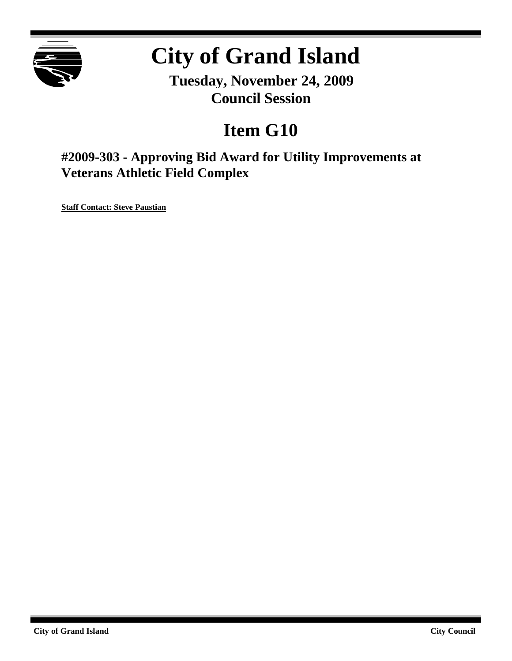

# **City of Grand Island**

**Tuesday, November 24, 2009 Council Session**

## **Item G10**

**#2009-303 - Approving Bid Award for Utility Improvements at Veterans Athletic Field Complex**

**Staff Contact: Steve Paustian**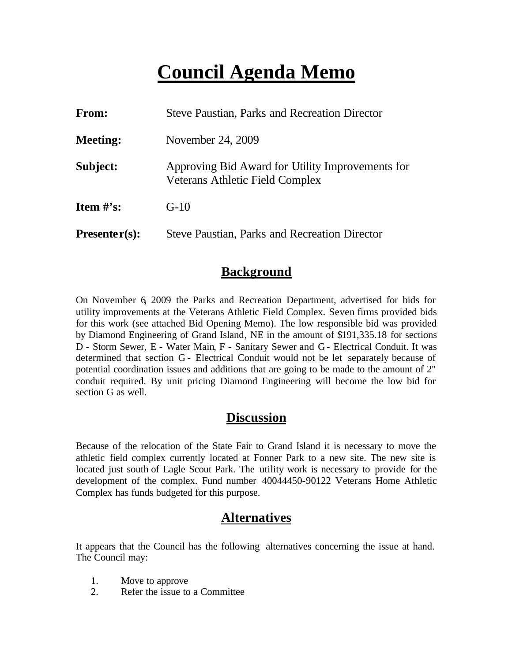## **Council Agenda Memo**

| <b>From:</b>                   | <b>Steve Paustian, Parks and Recreation Director</b>                                       |
|--------------------------------|--------------------------------------------------------------------------------------------|
| <b>Meeting:</b>                | November 24, 2009                                                                          |
| Subject:                       | Approving Bid Award for Utility Improvements for<br><b>Veterans Athletic Field Complex</b> |
| <b>Item <math>\#</math>'s:</b> | $G-10$                                                                                     |
| $Presenter(s):$                | <b>Steve Paustian, Parks and Recreation Director</b>                                       |

#### **Background**

On November 6, 2009 the Parks and Recreation Department, advertised for bids for utility improvements at the Veterans Athletic Field Complex. Seven firms provided bids for this work (see attached Bid Opening Memo). The low responsible bid was provided by Diamond Engineering of Grand Island, NE in the amount of \$191,335.18 for sections D - Storm Sewer, E - Water Main, F - Sanitary Sewer and G - Electrical Conduit. It was determined that section G - Electrical Conduit would not be let separately because of potential coordination issues and additions that are going to be made to the amount of 2" conduit required. By unit pricing Diamond Engineering will become the low bid for section G as well.

## **Discussion**

Because of the relocation of the State Fair to Grand Island it is necessary to move the athletic field complex currently located at Fonner Park to a new site. The new site is located just south of Eagle Scout Park. The utility work is necessary to provide for the development of the complex. Fund number 40044450-90122 Veterans Home Athletic Complex has funds budgeted for this purpose.

## **Alternatives**

It appears that the Council has the following alternatives concerning the issue at hand. The Council may:

- 1. Move to approve
- 2. Refer the issue to a Committee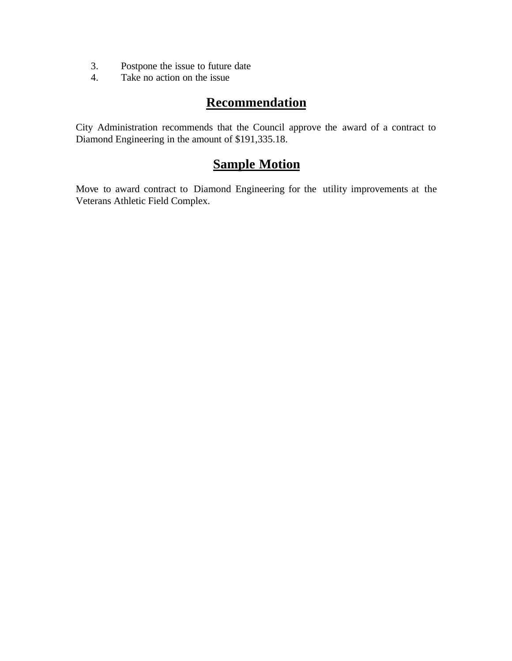- 3. Postpone the issue to future date
- 4. Take no action on the issue

## **Recommendation**

City Administration recommends that the Council approve the award of a contract to Diamond Engineering in the amount of \$191,335.18.

## **Sample Motion**

Move to award contract to Diamond Engineering for the utility improvements at the Veterans Athletic Field Complex.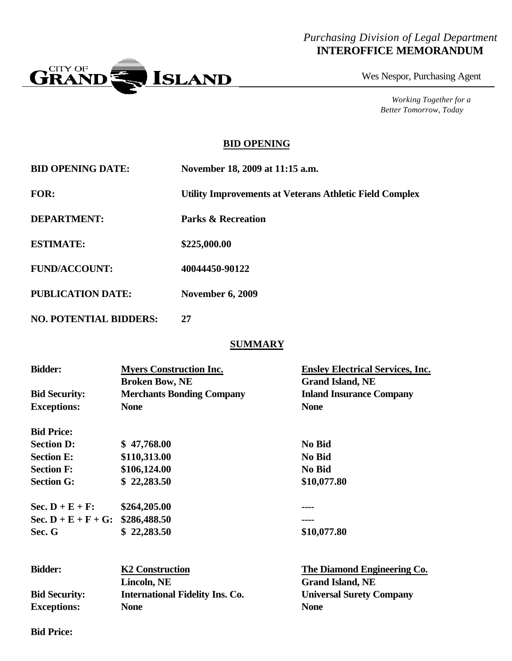#### *Purchasing Division of Legal Department* **INTEROFFICE MEMORANDUM**



Wes Nespor, Purchasing Agent

*Working Together for a Better Tomorrow, Today*

#### **BID OPENING**

| <b>BID OPENING DATE:</b> | November 18, 2009 at 11:15 a.m.                                |
|--------------------------|----------------------------------------------------------------|
| <b>FOR:</b>              | <b>Utility Improvements at Veterans Athletic Field Complex</b> |
| <b>DEPARTMENT:</b>       | <b>Parks &amp; Recreation</b>                                  |
| <b>ESTIMATE:</b>         | \$225,000.00                                                   |
| <b>FUND/ACCOUNT:</b>     | 40044450-90122                                                 |
| <b>PUBLICATION DATE:</b> | <b>November 6, 2009</b>                                        |

**NO. POTENTIAL BIDDERS: 27**

#### **SUMMARY**

| <b>Bidder:</b>                      | <b>Myers Construction Inc.</b><br><b>Broken Bow, NE</b> | <b>Ensley Electrical Services, Inc.</b><br><b>Grand Island, NE</b> |
|-------------------------------------|---------------------------------------------------------|--------------------------------------------------------------------|
| <b>Bid Security:</b>                | <b>Merchants Bonding Company</b>                        | <b>Inland Insurance Company</b>                                    |
| <b>Exceptions:</b>                  | <b>None</b>                                             | <b>None</b>                                                        |
| <b>Bid Price:</b>                   |                                                         |                                                                    |
| <b>Section D:</b>                   | \$47,768.00                                             | No Bid                                                             |
| <b>Section E:</b>                   | \$110,313.00                                            | <b>No Bid</b>                                                      |
| <b>Section F:</b>                   | \$106,124.00                                            | No Bid                                                             |
| <b>Section G:</b>                   | \$22,283.50                                             | \$10,077.80                                                        |
| Sec. $D + E + F$ :                  | \$264,205.00                                            |                                                                    |
| Sec. $D + E + F + G$ : \$286,488.50 |                                                         |                                                                    |
| Sec. G                              | \$22,283.50                                             | \$10,077.80                                                        |
|                                     |                                                         |                                                                    |
| <b>Bidder:</b>                      | <b>K2 Construction</b>                                  | The Diamond Engineering Co.                                        |
|                                     | Lincoln, NE                                             | <b>Grand Island, NE</b>                                            |
| <b>Bid Security:</b>                | <b>International Fidelity Ins. Co.</b>                  | <b>Universal Surety Company</b>                                    |
| <b>Exceptions:</b>                  | <b>None</b>                                             | <b>None</b>                                                        |

**Bid Price:**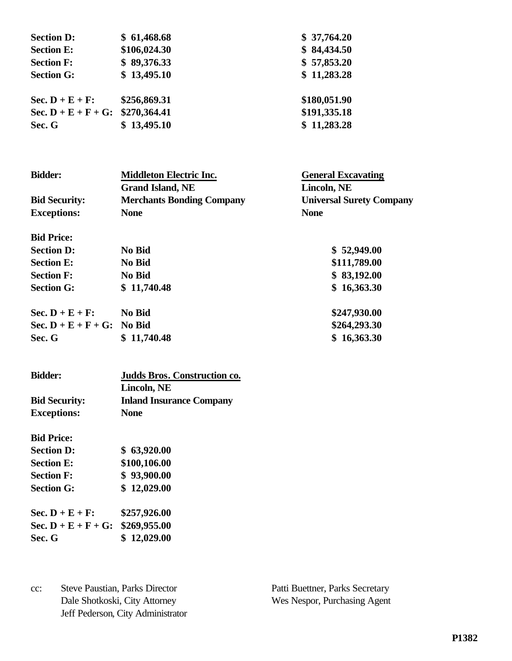| \$61,468.68  | \$37,764.20                         |
|--------------|-------------------------------------|
| \$106,024.30 | \$84,434.50                         |
| \$89,376.33  | \$57,853.20                         |
| \$13,495.10  | \$11,283.28                         |
| \$256,869.31 | \$180,051.90                        |
|              | \$191,335.18                        |
| \$13,495.10  | \$11,283.28                         |
|              | Sec. $D + E + F + G$ : \$270,364.41 |

| <b>Bidder:</b>                | <b>Middleton Electric Inc.</b>   | <b>General Excavating</b>       |
|-------------------------------|----------------------------------|---------------------------------|
|                               | <b>Grand Island, NE</b>          | Lincoln, NE                     |
| <b>Bid Security:</b>          | <b>Merchants Bonding Company</b> | <b>Universal Surety Company</b> |
| <b>Exceptions:</b>            | <b>None</b>                      | <b>None</b>                     |
| <b>Bid Price:</b>             |                                  |                                 |
| <b>Section D:</b>             | No Bid                           | \$52,949.00                     |
| <b>Section E:</b>             | <b>No Bid</b>                    | \$111,789.00                    |
| <b>Section F:</b>             | No Bid                           | \$83,192.00                     |
| <b>Section G:</b>             | \$11,740.48                      | \$16,363.30                     |
| Sec. $D + E + F$ :            | <b>No Bid</b>                    | \$247,930.00                    |
| Sec. $D + E + F + G$ : No Bid |                                  | \$264,293.30                    |
| Sec. G                        | \$11,740.48                      | \$16,363.30                     |

| <b>Bidder:</b>       | <b>Judds Bros. Construction co.</b> |  |
|----------------------|-------------------------------------|--|
|                      | Lincoln, NE                         |  |
| <b>Bid Security:</b> | <b>Inland Insurance Company</b>     |  |
| <b>Exceptions:</b>   | <b>None</b>                         |  |

**Bid Price:**

| <b>Section D:</b>                                           | \$63,920.00  |
|-------------------------------------------------------------|--------------|
| <b>Section E:</b>                                           | \$100,106.00 |
| <b>Section F:</b>                                           | \$93,900.00  |
| <b>Section G:</b>                                           | \$12,029.00  |
| $C_{\alpha\alpha}$ $\mathbf{D}$ $\mathbf{F}$ $\mathbf{F}$ . |              |

| Sec. $D + E + F$ :                  | \$257,926.00 |
|-------------------------------------|--------------|
| Sec. $D + E + F + G$ : \$269,955.00 |              |
| Sec. G                              | \$12,029.00  |

cc: Steve Paustian, Parks Director Patti Buettner, Parks Secretary Dale Shotkoski, City Attorney Wes Nespor, Purchasing Agent Jeff Pederson, City Administrator